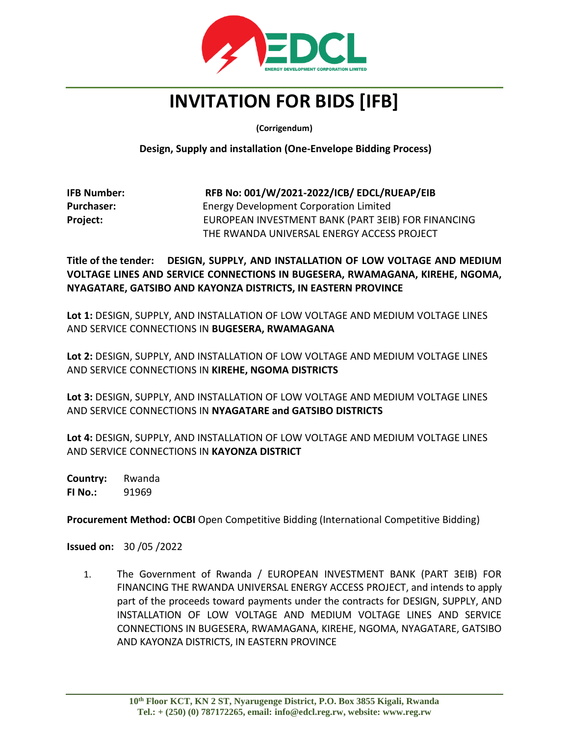

## **INVITATION FOR BIDS [IFB]**

**(Corrigendum)**

**Design, Supply and installation (One-Envelope Bidding Process)**

| <b>IFB Number:</b> | RFB No: 001/W/2021-2022/ICB/ EDCL/RUEAP/EIB        |  |
|--------------------|----------------------------------------------------|--|
| <b>Purchaser:</b>  | Energy Development Corporation Limited             |  |
| Project:           | EUROPEAN INVESTMENT BANK (PART 3EIB) FOR FINANCING |  |
|                    | THE RWANDA UNIVERSAL ENERGY ACCESS PROJECT         |  |

**Title of the tender: DESIGN, SUPPLY, AND INSTALLATION OF LOW VOLTAGE AND MEDIUM VOLTAGE LINES AND SERVICE CONNECTIONS IN BUGESERA, RWAMAGANA, KIREHE, NGOMA, NYAGATARE, GATSIBO AND KAYONZA DISTRICTS, IN EASTERN PROVINCE**

**Lot 1:** DESIGN, SUPPLY, AND INSTALLATION OF LOW VOLTAGE AND MEDIUM VOLTAGE LINES AND SERVICE CONNECTIONS IN **BUGESERA, RWAMAGANA**

**Lot 2:** DESIGN, SUPPLY, AND INSTALLATION OF LOW VOLTAGE AND MEDIUM VOLTAGE LINES AND SERVICE CONNECTIONS IN **KIREHE, NGOMA DISTRICTS**

**Lot 3:** DESIGN, SUPPLY, AND INSTALLATION OF LOW VOLTAGE AND MEDIUM VOLTAGE LINES AND SERVICE CONNECTIONS IN **NYAGATARE and GATSIBO DISTRICTS**

**Lot 4:** DESIGN, SUPPLY, AND INSTALLATION OF LOW VOLTAGE AND MEDIUM VOLTAGE LINES AND SERVICE CONNECTIONS IN **KAYONZA DISTRICT**

**Country:** Rwanda **FI No.:** 91969

**Procurement Method: OCBI** Open Competitive Bidding (International Competitive Bidding)

**Issued on:** 30 /05 /2022

1. The Government of Rwanda / EUROPEAN INVESTMENT BANK (PART 3EIB) FOR FINANCING THE RWANDA UNIVERSAL ENERGY ACCESS PROJECT, and intends to apply part of the proceeds toward payments under the contracts for DESIGN, SUPPLY, AND INSTALLATION OF LOW VOLTAGE AND MEDIUM VOLTAGE LINES AND SERVICE CONNECTIONS IN BUGESERA, RWAMAGANA, KIREHE, NGOMA, NYAGATARE, GATSIBO AND KAYONZA DISTRICTS, IN EASTERN PROVINCE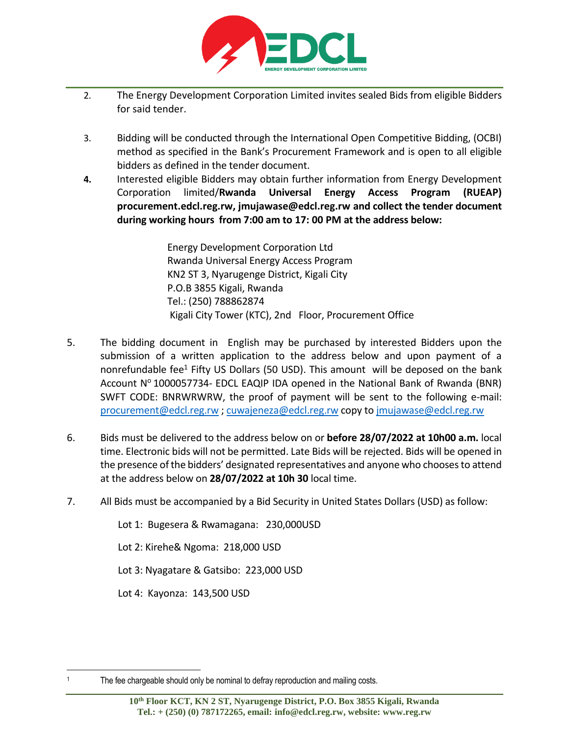

- 2. The Energy Development Corporation Limited invites sealed Bids from eligible Bidders for said tender.
- 3. Bidding will be conducted through the International Open Competitive Bidding, (OCBI) method as specified in the Bank's Procurement Framework and is open to all eligible bidders as defined in the tender document.
- **4.** Interested eligible Bidders may obtain further information from Energy Development Corporation limited/**Rwanda Universal Energy Access Program (RUEAP) procurement.edcl.reg.rw, jmujawase@edcl.reg.rw and collect the tender document during working hours from 7:00 am to 17: 00 PM at the address below:**

Energy Development Corporation Ltd Rwanda Universal Energy Access Program KN2 ST 3, Nyarugenge District, Kigali City P.O.B 3855 Kigali, Rwanda Tel.: (250) 788862874 Kigali City Tower (KTC), 2nd Floor, Procurement Office

- 5. The bidding document in English may be purchased by interested Bidders upon the submission of a written application to the address below and upon payment of a nonrefundable fee<sup>1</sup> Fifty US Dollars (50 USD). This amount will be deposed on the bank Account  $N^{\circ}$  1000057734- EDCL EAQIP IDA opened in the National Bank of Rwanda (BNR) SWFT CODE: BNRWRWRW, the proof of payment will be sent to the following e-mail: [procurement@edcl.reg.rw](mailto:procurement@edcl.reg.rw) [; cuwajeneza@edcl.reg.rw](mailto:cuwajeneza@edcl.reg.rw) copy to [jmujawase@edcl.reg.rw](mailto:jmujawase@edcl.reg.rw)
- 6. Bids must be delivered to the address below on or **before 28/07/2022 at 10h00 a.m.** local time. Electronic bids will not be permitted. Late Bids will be rejected. Bids will be opened in the presence of the bidders' designated representatives and anyone who chooses to attend at the address below on **28/07/2022 at 10h 30** local time.
- 7. All Bids must be accompanied by a Bid Security in United States Dollars (USD) as follow:

Lot 1: Bugesera & Rwamagana: 230,000USD

Lot 2: Kirehe& Ngoma: 218,000 USD

Lot 3: Nyagatare & Gatsibo: 223,000 USD

Lot 4: Kayonza: 143,500 USD

 $\overline{\phantom{a}}$ 

<sup>&</sup>lt;sup>1</sup> The fee chargeable should only be nominal to defray reproduction and mailing costs.